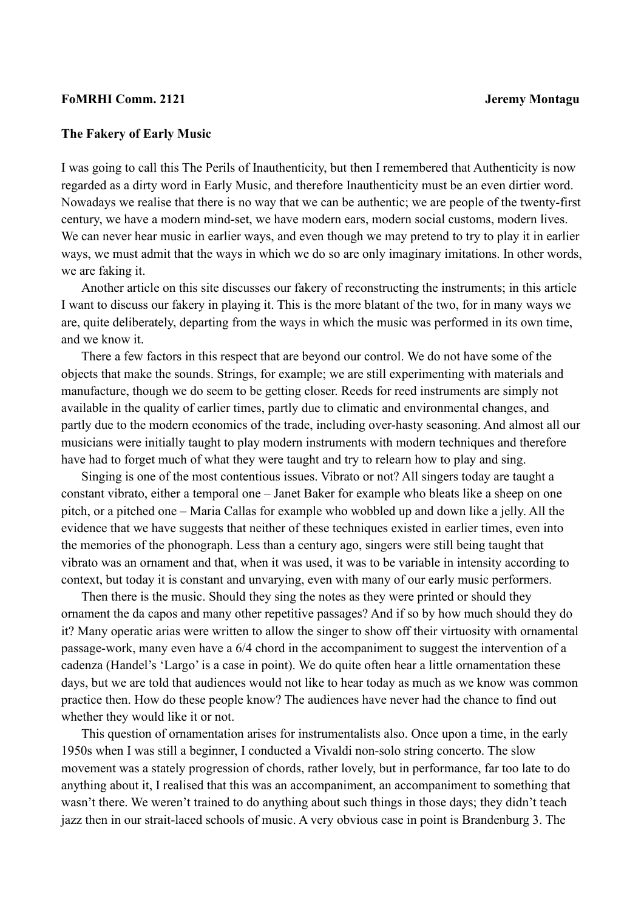## **FoMRHI Comm. 2121 Jeremy Montagu**

## **The Fakery of Early Music**

I was going to call this The Perils of Inauthenticity, but then I remembered that Authenticity is now regarded as a dirty word in Early Music, and therefore Inauthenticity must be an even dirtier word. Nowadays we realise that there is no way that we can be authentic; we are people of the twenty-first century, we have a modern mind-set, we have modern ears, modern social customs, modern lives. We can never hear music in earlier ways, and even though we may pretend to try to play it in earlier ways, we must admit that the ways in which we do so are only imaginary imitations. In other words, we are faking it.

Another article on this site discusses our fakery of reconstructing the instruments; in this article I want to discuss our fakery in playing it. This is the more blatant of the two, for in many ways we are, quite deliberately, departing from the ways in which the music was performed in its own time, and we know it.

There a few factors in this respect that are beyond our control. We do not have some of the objects that make the sounds. Strings, for example; we are still experimenting with materials and manufacture, though we do seem to be getting closer. Reeds for reed instruments are simply not available in the quality of earlier times, partly due to climatic and environmental changes, and partly due to the modern economics of the trade, including over-hasty seasoning. And almost all our musicians were initially taught to play modern instruments with modern techniques and therefore have had to forget much of what they were taught and try to relearn how to play and sing.

Singing is one of the most contentious issues. Vibrato or not? All singers today are taught a constant vibrato, either a temporal one – Janet Baker for example who bleats like a sheep on one pitch, or a pitched one – Maria Callas for example who wobbled up and down like a jelly. All the evidence that we have suggests that neither of these techniques existed in earlier times, even into the memories of the phonograph. Less than a century ago, singers were still being taught that vibrato was an ornament and that, when it was used, it was to be variable in intensity according to context, but today it is constant and unvarying, even with many of our early music performers.

Then there is the music. Should they sing the notes as they were printed or should they ornament the da capos and many other repetitive passages? And if so by how much should they do it? Many operatic arias were written to allow the singer to show off their virtuosity with ornamental passage-work, many even have a 6/4 chord in the accompaniment to suggest the intervention of a cadenza (Handel's 'Largo' is a case in point). We do quite often hear a little ornamentation these days, but we are told that audiences would not like to hear today as much as we know was common practice then. How do these people know? The audiences have never had the chance to find out whether they would like it or not.

This question of ornamentation arises for instrumentalists also. Once upon a time, in the early 1950s when I was still a beginner, I conducted a Vivaldi non-solo string concerto. The slow movement was a stately progression of chords, rather lovely, but in performance, far too late to do anything about it, I realised that this was an accompaniment, an accompaniment to something that wasn't there. We weren't trained to do anything about such things in those days; they didn't teach jazz then in our strait-laced schools of music. A very obvious case in point is Brandenburg 3. The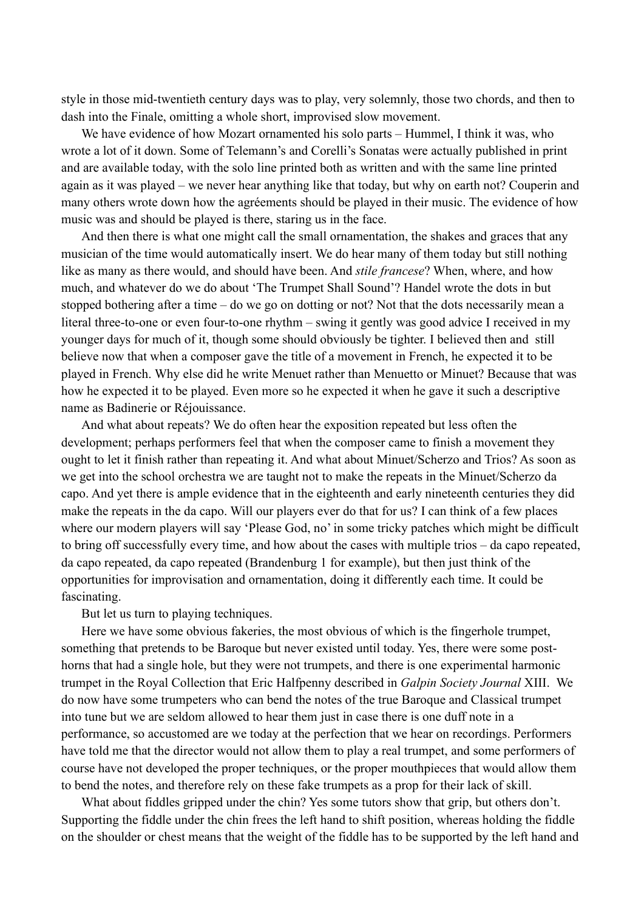style in those mid-twentieth century days was to play, very solemnly, those two chords, and then to dash into the Finale, omitting a whole short, improvised slow movement.

We have evidence of how Mozart ornamented his solo parts – Hummel, I think it was, who wrote a lot of it down. Some of Telemann's and Corelli's Sonatas were actually published in print and are available today, with the solo line printed both as written and with the same line printed again as it was played – we never hear anything like that today, but why on earth not? Couperin and many others wrote down how the agréements should be played in their music. The evidence of how music was and should be played is there, staring us in the face.

And then there is what one might call the small ornamentation, the shakes and graces that any musician of the time would automatically insert. We do hear many of them today but still nothing like as many as there would, and should have been. And *stile francese*? When, where, and how much, and whatever do we do about 'The Trumpet Shall Sound'? Handel wrote the dots in but stopped bothering after a time – do we go on dotting or not? Not that the dots necessarily mean a literal three-to-one or even four-to-one rhythm – swing it gently was good advice I received in my younger days for much of it, though some should obviously be tighter. I believed then and still believe now that when a composer gave the title of a movement in French, he expected it to be played in French. Why else did he write Menuet rather than Menuetto or Minuet? Because that was how he expected it to be played. Even more so he expected it when he gave it such a descriptive name as Badinerie or Réjouissance.

And what about repeats? We do often hear the exposition repeated but less often the development; perhaps performers feel that when the composer came to finish a movement they ought to let it finish rather than repeating it. And what about Minuet/Scherzo and Trios? As soon as we get into the school orchestra we are taught not to make the repeats in the Minuet/Scherzo da capo. And yet there is ample evidence that in the eighteenth and early nineteenth centuries they did make the repeats in the da capo. Will our players ever do that for us? I can think of a few places where our modern players will say 'Please God, no' in some tricky patches which might be difficult to bring off successfully every time, and how about the cases with multiple trios – da capo repeated, da capo repeated, da capo repeated (Brandenburg 1 for example), but then just think of the opportunities for improvisation and ornamentation, doing it differently each time. It could be fascinating.

But let us turn to playing techniques.

Here we have some obvious fakeries, the most obvious of which is the fingerhole trumpet, something that pretends to be Baroque but never existed until today. Yes, there were some posthorns that had a single hole, but they were not trumpets, and there is one experimental harmonic trumpet in the Royal Collection that Eric Halfpenny described in *Galpin Society Journal* XIII. We do now have some trumpeters who can bend the notes of the true Baroque and Classical trumpet into tune but we are seldom allowed to hear them just in case there is one duff note in a performance, so accustomed are we today at the perfection that we hear on recordings. Performers have told me that the director would not allow them to play a real trumpet, and some performers of course have not developed the proper techniques, or the proper mouthpieces that would allow them to bend the notes, and therefore rely on these fake trumpets as a prop for their lack of skill.

What about fiddles gripped under the chin? Yes some tutors show that grip, but others don't. Supporting the fiddle under the chin frees the left hand to shift position, whereas holding the fiddle on the shoulder or chest means that the weight of the fiddle has to be supported by the left hand and